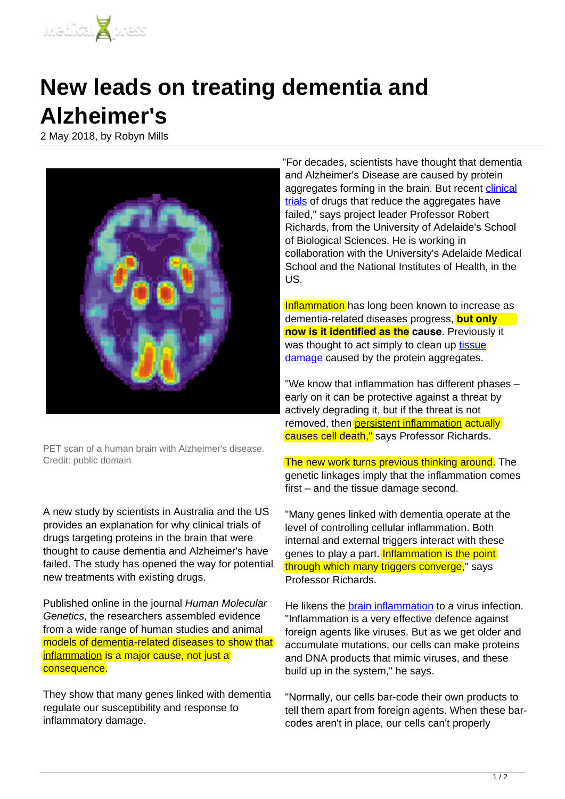

## **New leads on treating dementia and Alzheimer's**

2 May 2018, by Robyn Mills



PET scan of a human brain with Alzheimer's disease. Credit: public domain

A new study by scientists in Australia and the US provides an explanation for why clinical trials of drugs targeting proteins in the brain that were thought to cause dementia and Alzheimer's have failed. The study has opened the way for potential new treatments with existing drugs.

Published online in the journal Human Molecular Genetics, the researchers assembled evidence from a wide range of human studies and animal models of [dementia](https://medicalxpress.com/tags/dementia/)-related diseases to show that [inflammation](https://medicalxpress.com/tags/inflammation/) is a major cause, not just a consequence.

They show that many genes linked with dementia regulate our susceptibility and response to inflammatory damage.

"For decades, scientists have thought that dementia and Alzheimer's Disease are caused by protein aggregates forming in the brain. But recent [clinical](https://medicalxpress.com/tags/clinical+trials/) [trials](https://medicalxpress.com/tags/clinical+trials/) of drugs that reduce the aggregates have failed," says project leader Professor Robert Richards, from the University of Adelaide's School of Biological Sciences. He is working in collaboration with the University's Adelaide Medical School and the National Institutes of Health, in the US.

Inflammation has long been known to increase as dementia-related diseases progress, **but only now is it identified as the cause**. Previously it was thought to act simply to clean up tissue damage caused by the protein aggregates.

"We know that inflammation has different phases – early on it can be protective against a threat by actively degrading it, but if the threat is not removed, then **[persistent inflammation](https://medicalxpress.com/tags/persistent+inflammation/) actually** causes cell death," says Professor Richards.

The new work turns previous thinking around. The genetic linkages imply that the inflammation comes first – and the tissue damage second.

"Many genes linked with dementia operate at the level of controlling cellular inflammation. Both internal and external triggers interact with these genes to play a part. Inflammation is the point through which many triggers converge," says Professor Richards.

He likens the [brain inflammation](https://medicalxpress.com/tags/brain+inflammation/) to a virus infection. "Inflammation is a very effective defence against foreign agents like viruses. But as we get older and accumulate mutations, our cells can make proteins and DNA products that mimic viruses, and these build up in the system," he says.

"Normally, our cells bar-code their own products to tell them apart from foreign agents. When these barcodes aren't in place, our cells can't properly